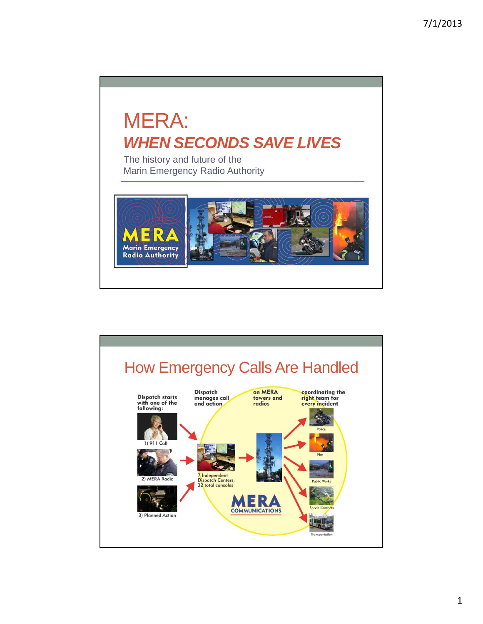# MERA: **WHEN SECONDS SAVE LIVES**

The history and future of the Marin Emergency Radio Authority



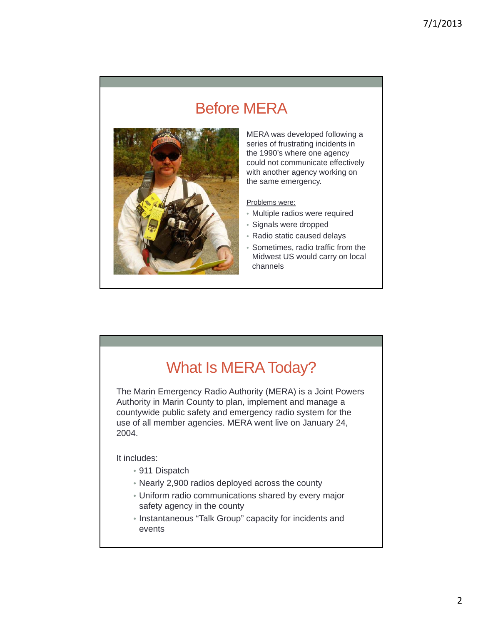# Before MERA



MERA was developed following a series of frustrating incidents in the 1990's where one agency could not communicate effectively with another agency working on the same emergency.

Problems were:

- Multiple radios were required
- Signals were dropped
- Radio static caused delays
- Sometimes, radio traffic from the Midwest US would carry on local channels

# What Is MERA Today?

The Marin Emergency Radio Authority (MERA) is a Joint Powers Authority in Marin County to plan, implement and manage a countywide public safety and emergency radio system for the use of all member agencies. MERA went live on January 24, 2004.

It includes:

- 911 Dispatch
- Nearly 2,900 radios deployed across the county
- Uniform radio communications shared by every major safety agency in the county
- Instantaneous "Talk Group" capacity for incidents and events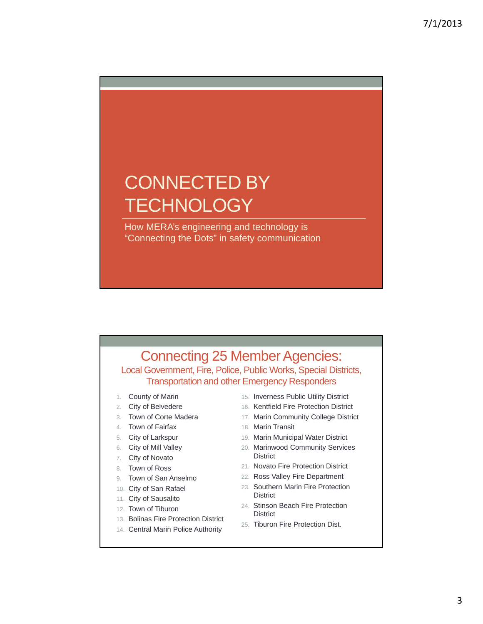# CONNECTED BY **TECHNOLOGY**

How MERA's engineering and technology is "Connecting the Dots" in safety communication

### Connecting 25 Member Agencies:

Local Government, Fire, Police, Public Works, Special Districts, Transportation and other Emergency Responders

- 1. County of Marin
- 2. City of Belvedere
- 3. Town of Corte Madera
- 4. Town of Fairfax
- 5. City of Larkspur
- 6. City of Mill Valley
- 7. City of Novato
- 8. Town of Ross
- 9. Town of San Anselmo
- 10. City of San Rafael
- 11. City of Sausalito
- 12. Town of Tiburon
- 13. Bolinas Fire Protection District
- 14. Central Marin Police Authority
- 15. Inverness Public Utility District
- 2. City of Belvedere **16. Kentfield Fire Protection District** 
	- 17. Marin Community College District
	- 18. Marin Transit
	- 19. Marin Municipal Water District
	- 20. Marinwood Community Services **District**
	- 21. Novato Fire Protection District
- 9. Town of San Anselmo **22. Ross Valley Fire Department** 
	- 23. Southern Marin Fire Protection **District**
	- 24. Stinson Beach Fire Protection **District**
	- 25. Tiburon Fire Protection Dist.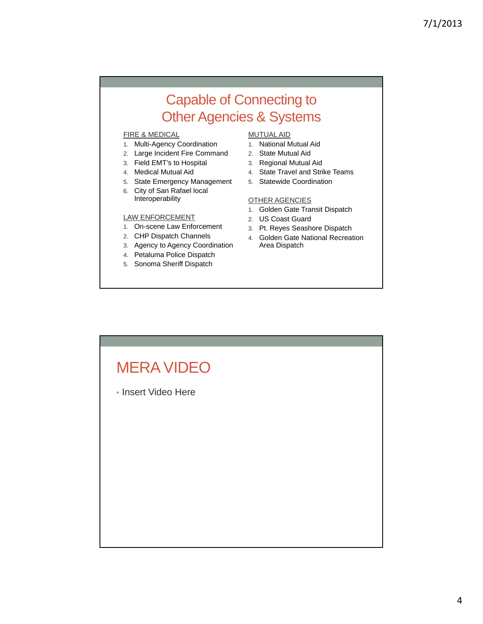## Capable of Connecting to Other Agencies & Systems

#### FIRE & MEDICAL

- 1. Multi-Agency Coordination
- 2. Large Incident Fire Command
- 3. Field EMT's to Hospital
- 4. Medical Mutual Aid
- 5. State Emergency Management
- 6. City of San Rafael local Interoperability

#### LAW ENFORCEMENT 2. US Coast Guard

- 1. On-scene Law Enforcement
- 2. CHP Dispatch Channels
- 3. Agency to Agency Coordination
- 4. Petaluma Police Dispatch
- 5. Sonoma Sheriff Dispatch

#### MUTUAL AID

- 1. National Mutual Aid
- 2. State Mutual Aid
- 3. Regional Mutual Aid
- 4. State Travel and Strike Teams
- 5. Statewide Coordination

#### OTHER AGENCIES

- 1. Golden Gate Transit Dispatch
- 2. US Coast
- 3. Pt. Reyes Seashore Dispatch
- 4. Golden Gate National Recreation Area Dispatch

# MERA VIDEO • Insert Video Here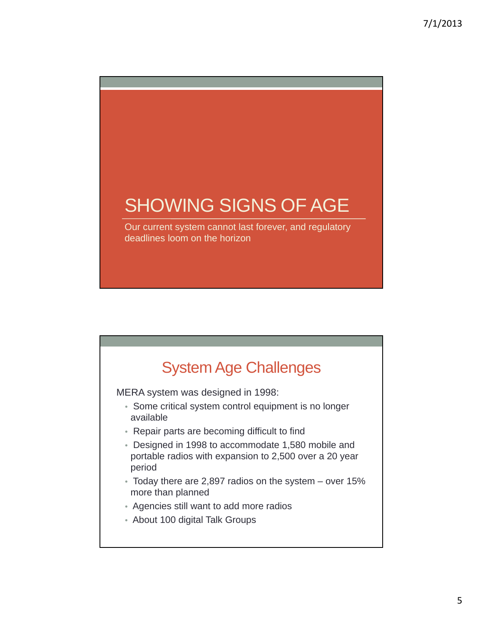# SHOWING SIGNS OF AGE Our current system cannot last forever, and regulatory deadlines loom on the horizon

# System Age Challenges

MERA system was designed in 1998:

- Some critical system control equipment is no longer available
- Repair parts are becoming difficult to find
- Designed in 1998 to accommodate 1,580 mobile and portable radios with expansion to 2,500 over a 20 year period
- Today there are 2,897 radios on the system over 15% more than planned
- Agencies still want to add more radios
- About 100 digital Talk Groups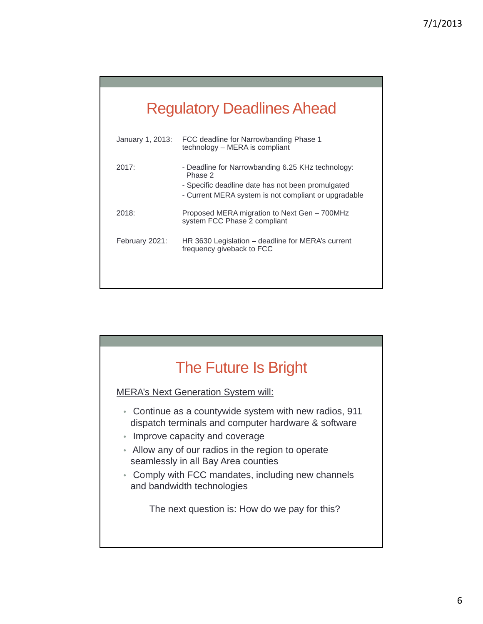|  |  | <b>Regulatory Deadlines Ahead</b> |
|--|--|-----------------------------------|
|  |  |                                   |

| FCC deadline for Narrowbanding Phase 1<br>technology – MERA is compliant                                                                                                  |
|---------------------------------------------------------------------------------------------------------------------------------------------------------------------------|
| - Deadline for Narrowbanding 6.25 KHz technology:<br>Phase 2<br>- Specific deadline date has not been promulgated<br>- Current MERA system is not compliant or upgradable |
| Proposed MERA migration to Next Gen – 700MHz<br>system FCC Phase 2 compliant                                                                                              |
| HR 3630 Legislation – deadline for MERA's current<br>frequency giveback to FCC                                                                                            |
|                                                                                                                                                                           |

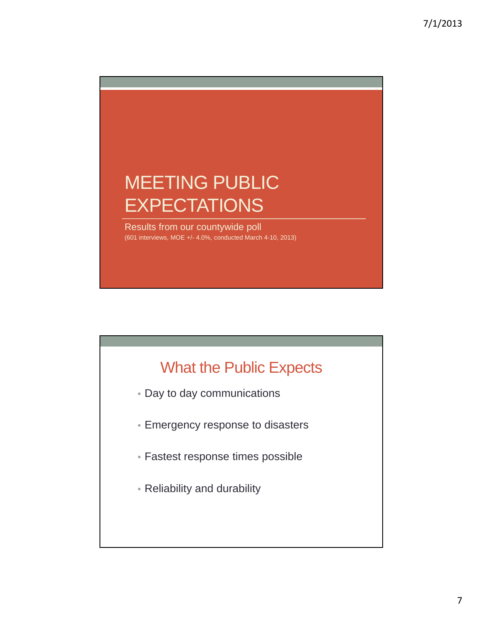

# What the Public Expects

- Day to day communications
- Emergency response to disasters
- Fastest response times possible
- Reliability and durability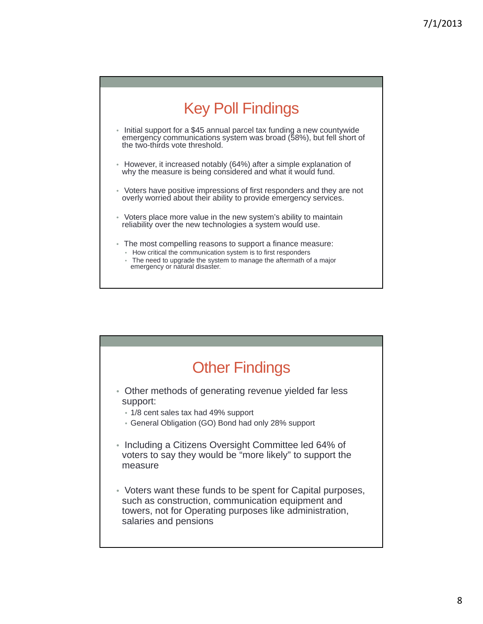

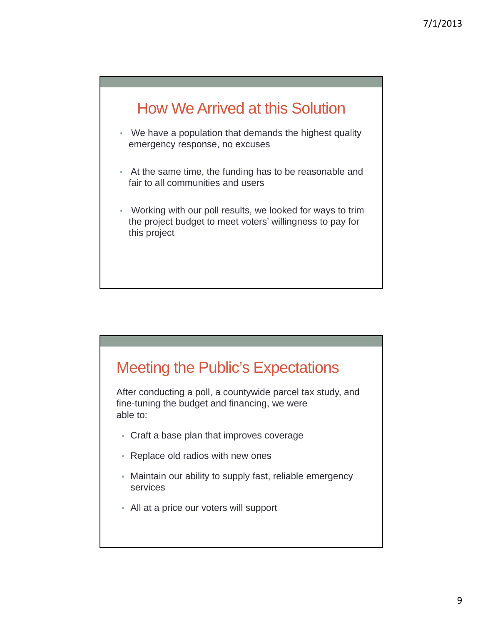# How We Arrived at this Solution

- We have a population that demands the highest quality emergency response, no excuses
- At the same time, the funding has to be reasonable and fair to all communities and users
- Working with our poll results, we looked for ways to trim the project budget to meet voters' willingness to pay for this project

# Meeting the Public's Expectations

After conducting a poll, a countywide parcel tax study, and fine-tuning the budget and financing, we were able to:

- Craft a base plan that improves coverage
- Replace old radios with new ones
- Maintain our ability to supply fast, reliable emergency services
- All at a price our voters will support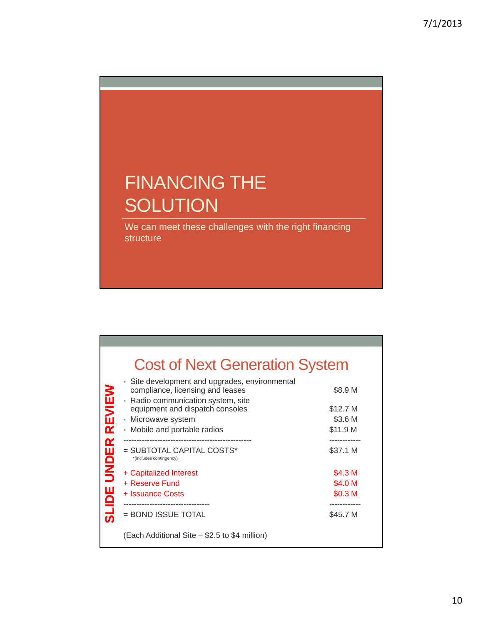# FINANCING THE **SOLUTION**

We can meet these challenges with the right financing structure

|                    |                                                                                                                                     | <b>Cost of Next Generation System</b> |  |  |  |  |
|--------------------|-------------------------------------------------------------------------------------------------------------------------------------|---------------------------------------|--|--|--|--|
| REVIEW             | • Site development and upgrades, environmental<br>compliance, licensing and leases<br>Radio communication system, site<br>$\bullet$ | \$8.9 M                               |  |  |  |  |
|                    | equipment and dispatch consoles                                                                                                     | \$12.7 M                              |  |  |  |  |
|                    | • Microwave system                                                                                                                  | \$3.6 M                               |  |  |  |  |
|                    | Mobile and portable radios<br>۰                                                                                                     | \$11.9 M                              |  |  |  |  |
|                    |                                                                                                                                     |                                       |  |  |  |  |
| <b>SLIDE UNDER</b> | $=$ SUBTOTAL CAPITAL COSTS*<br>*(includes contingency)                                                                              | \$37.1 M                              |  |  |  |  |
|                    | + Capitalized Interest                                                                                                              | \$4.3 M                               |  |  |  |  |
|                    | + Reserve Fund                                                                                                                      | \$4.0 M                               |  |  |  |  |
|                    | + Issuance Costs                                                                                                                    | \$0.3 M                               |  |  |  |  |
|                    | = BOND ISSUE TOTAL                                                                                                                  | \$45.7 M                              |  |  |  |  |
|                    | (Each Additional Site – \$2.5 to \$4 million)                                                                                       |                                       |  |  |  |  |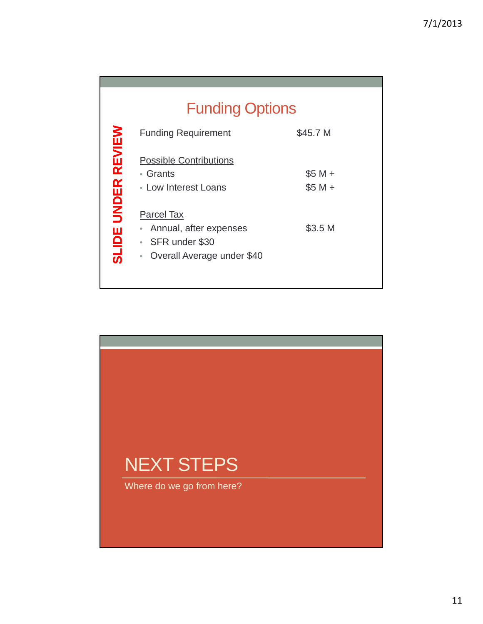|                                     | <b>Funding Options</b>                                                                                                                                |                                            |  |  |  |  |  |
|-------------------------------------|-------------------------------------------------------------------------------------------------------------------------------------------------------|--------------------------------------------|--|--|--|--|--|
|                                     | <b>Funding Requirement</b>                                                                                                                            | \$45.7 M                                   |  |  |  |  |  |
| <b>REVIEW</b><br><b>SLIDE UNDER</b> | <b>Possible Contributions</b><br>• Grants<br>• Low Interest Loans<br>Parcel Tax<br>Annual, after expenses<br>$\bullet$<br>SFR under \$30<br>$\bullet$ | $$5 M +$<br>$$5 M +$<br>\$3.5 <sub>M</sub> |  |  |  |  |  |
|                                     | Overall Average under \$40<br>$\qquad \qquad \bullet$                                                                                                 |                                            |  |  |  |  |  |